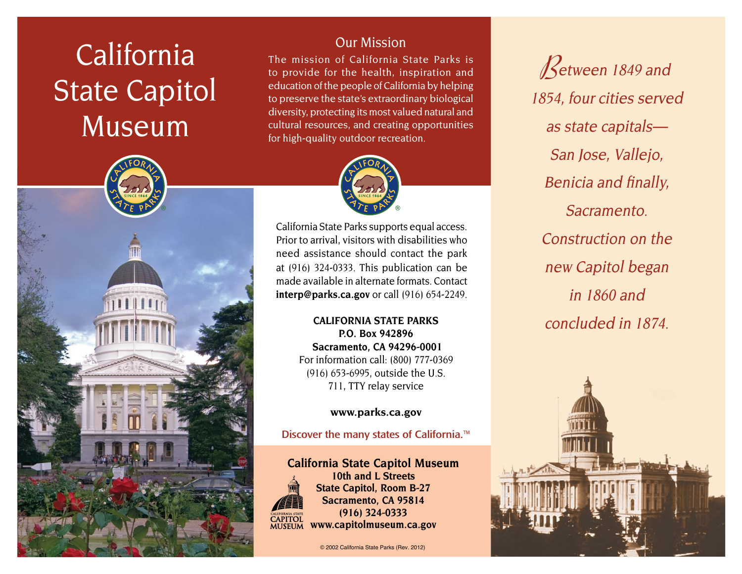# California State Capitol Museum



# Our Mission

The mission of California State Parks is to provide for the health, inspiration and education of the people of California by helping to preserve the state's extraordinary biological diversity, protecting its most valued natural and cultural resources, and creating opportunities for high-quality outdoor recreation.



California State Parks supports equal access. Prior to arrival, visitors with disabilities who need assistance should contact the park at (916) 324-0333. This publication can be made available in alternate formats. Contact **interp@parks.ca.gov** or call (916) 654-2249.

> **CALIFORNIA STATE PARKS P.O. Box 942896 Sacramento, CA 94296-0001** For information call: (800) 777-0369 (916) 653-6995, outside the U.S. 711, TTY relay service

#### **www.parks.ca.gov**

Discover the many states of California.<sup>™</sup>

**California State Capitol Museum 10th and L Streets State Capitol, Room B-27 Sacramento, CA 95814 (916) 324-0333 CAPITOL**<br>MUSEUM **www.capitolmuseum.ca.gov**

© 2002 California State Parks (Rev. 2012)

**Between 1849 and** 1854, four cities served as state capitals— San Jose, Vallejo, Benicia and finally, Sacramento. Construction on the new Capitol began in 1860 and concluded in 1874.

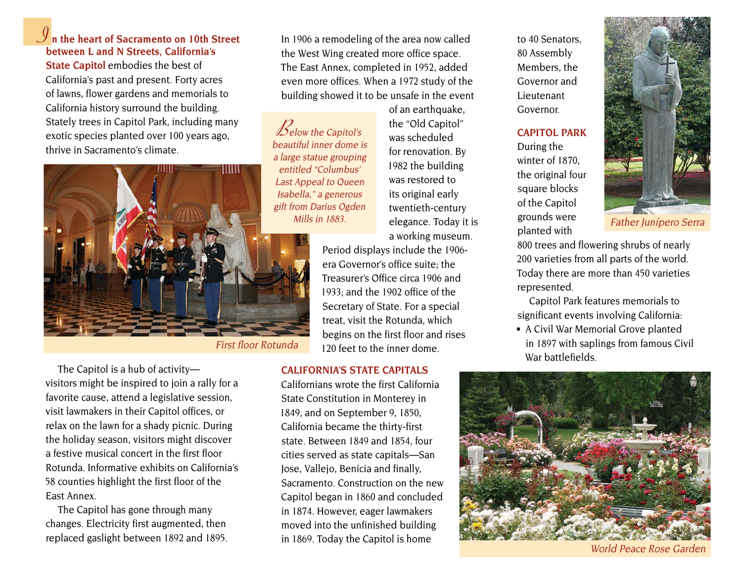## **I n the heart of Sacramento on 10th Street between L and N Streets, California's**

**State Capitol** embodies the best of California's past and present. Forty acres of lawns, flower gardens and memorials to California history surround the building. Stately trees in Capitol Park, including many exotic species planted over 100 years ago, thrive in Sacramento's climate.



First floor Rotunda

The Capitol is a hub of activity visitors might be inspired to join a rally for a favorite cause, attend a legislative session, visit lawmakers in their Capitol offices, or relax on the lawn for a shady picnic. During the holiday season, visitors might discover a festive musical concert in the first floor Rotunda. Informative exhibits on California's 58 counties highlight the first floor of the East Annex.

The Capitol has gone through many changes. Electricity first augmented, then replaced gaslight between 1892 and 1895. In 1906 a remodeling of the area now called the West Wing created more office space. The East Annex, completed in 1952, added even more offices. When a 1972 study of the building showed it to be unsafe in the event

 $\mathcal{B}_{\text{elow the Capitol's}}$ beautiful inner dome is a large statue grouping entitled "Columbus' Last Appeal to Queen Isabella," a generous gift from Darius Ogden Mills in 1883.

of an earthquake, the "Old Capitol" was scheduled for renovation. By 1982 the building was restored to its original early twentieth-century elegance. Today it is a working museum.

Period displays include the 1906 era Governor's office suite; the Treasurer's Office circa 1906 and 1933; and the 1902 office of the Secretary of State. For a special treat, visit the Rotunda, which begins on the first floor and rises 120 feet to the inner dome.

#### **CALIFORNIA'S STATE CAPITALS**

Californians wrote the first California State Constitution in Monterey in 1849, and on September 9, 1850, California became the thirty-first state. Between 1849 and 1854, four cities served as state capitals—San Jose, Vallejo, Benicia and finally, Sacramento. Construction on the new Capitol began in 1860 and concluded in 1874. However, eager lawmakers moved into the unfinished building in 1869. Today the Capitol is home

to 40 Senators, 80 Assembly Members, the Governor and Lieutenant Governor.

#### **CAPITOL PARK**

During the winter of 1870, the original four square blocks of the Capitol grounds were planted with

800 trees and flowering shrubs of nearly 200 varieties from all parts of the world. Today there are more than 450 varieties represented.

Capitol Park features memorials to significant events involving California:

• A Civil War Memorial Grove planted in 1897 with saplings from famous Civil War battlefields.



World Peace Rose Garden



Father Junípero Serra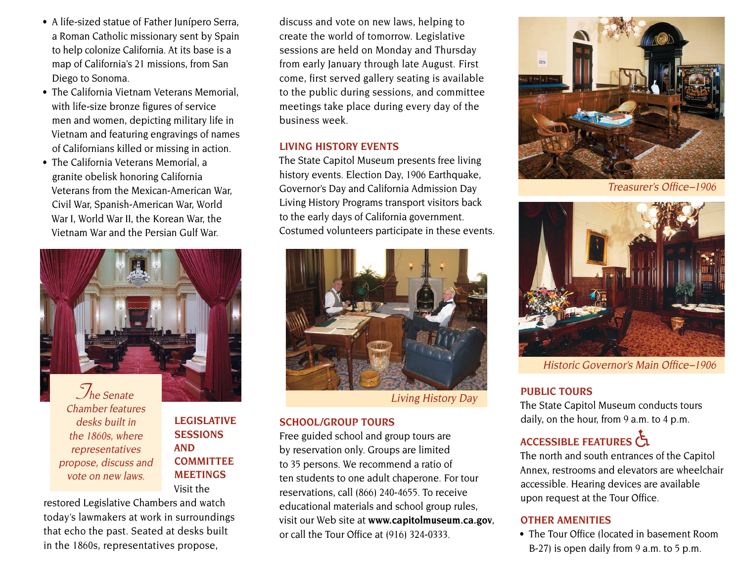- A life-sized statue of Father Junípero Serra, a Roman Catholic missionary sent by Spain to help colonize California. At its base is a map of California's 21 missions, from San Diego to Sonoma.
- The California Vietnam Veterans Memorial, with life-size bronze figures of service men and women, depicting military life in Vietnam and featuring engravings of names of Californians killed or missing in action.
- The California Veterans Memorial, a granite obelisk honoring California Veterans from the Mexican-American War, Civil War, Spanish-American War, World War I, World War II, the Korean War, the Vietnam War and the Persian Gulf War.



Chamber features desks built in the 1860s, where representatives propose, discuss and vote on new laws.

**LEGISLATIVE SESSIONS AND COMMITTEE MEETINGS** Visit the

restored Legislative Chambers and watch today's lawmakers at work in surroundings that echo the past. Seated at desks built in the 1860s, representatives propose,

discuss and vote on new laws, helping to create the world of tomorrow. Legislative sessions are held on Monday and Thursday from early January through late August. First come, first served gallery seating is available to the public during sessions, and committee meetings take place during every day of the business week.

#### **LIVING HISTORY EVENTS**

The State Capitol Museum presents free living history events. Election Day, 1906 Earthquake, Governor's Day and California Admission Day Living History Programs transport visitors back to the early days of California government. Costumed volunteers participate in these events.



Living History Day

#### **SCHOOL/GROUP TOURS**

Free guided school and group tours are by reservation only. Groups are limited to 35 persons. We recommend a ratio of ten students to one adult chaperone. For tour reservations, call (866) 240-4655. To receive educational materials and school group rules, visit our Web site at www.capitolmuseum.ca.gov, or call the Tour Office at (916) 324-0333.



Treasurer's Office–1906



Historic Governor's Main Office–1906

### **PUBLIC TOURS**

The State Capitol Museum conducts tours daily, on the hour, from 9 a.m. to 4 p.m.

# ACCESSIBLE FEATURES

The north and south entrances of the Capitol Annex, restrooms and elevators are wheelchair accessible. Hearing devices are available upon request at the Tour Office.

#### **OTHER AMENITIES**

• The Tour Office (located in basement Room) B-27) is open daily from 9 a.m. to 5 p.m.